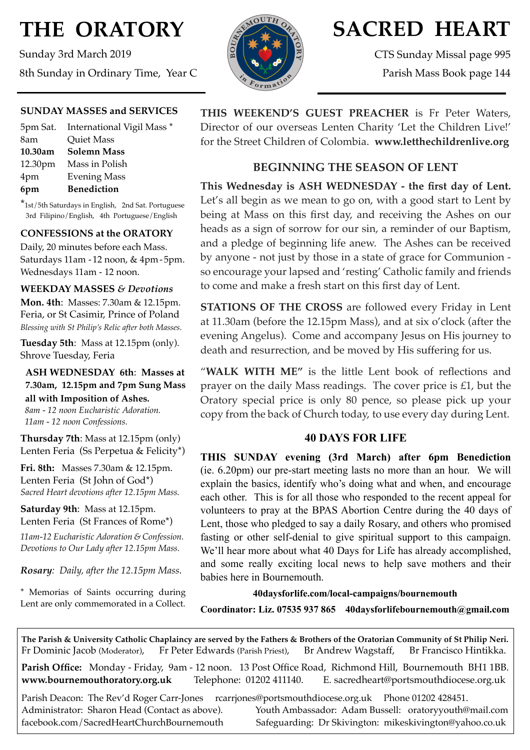# **THE ORATORY**

Sunday 3rd March 2019 8th Sunday in Ordinary Time, Year C



## **SACRED HEART**

CTS Sunday Missal page 995 Parish Mass Book page 144

## **SUNDAY MASSES and SERVICES**

|         | 5pm Sat. International Vigil Mass * |
|---------|-------------------------------------|
| 8am     | Quiet Mass                          |
| 10.30am | <b>Solemn Mass</b>                  |
|         | 12.30pm Mass in Polish              |
| 4pm     | <b>Evening Mass</b>                 |
| 6pm     | <b>Benediction</b>                  |

\*1st/5th Saturdays in English, 2nd Sat. Portuguese 3rd Filipino/English, 4th Portuguese/English

## **CONFESSIONS at the ORATORY**

Daily, 20 minutes before each Mass. Saturdays 11am - 12 noon, & 4pm- 5pm. Wednesdays 11am - 12 noon.

#### **WEEKDAY MASSES** *& Devotions*

**Mon. 4th**: Masses: 7.30am & 12.15pm. Feria, or St Casimir, Prince of Poland *Blessing with St Philip's Relic after both Masses.*

**Tuesday 5th**: Mass at 12.15pm (only). Shrove Tuesday, Feria

## **ASH WEDNESDAY 6th**: **Masses at 7.30am, 12.15pm and 7pm Sung Mass all with Imposition of Ashes.**

 *8am - 12 noon Eucharistic Adoration. 11am - 12 noon Confessions.*

**Thursday 7th**: Mass at 12.15pm (only) Lenten Feria (Ss Perpetua & Felicity\*)

**Fri. 8th:** Masses 7.30am & 12.15pm. Lenten Feria (St John of God\*) *Sacred Heart devotions after 12.15pm Mass.*

**Saturday 9th**: Mass at 12.15pm. Lenten Feria (St Frances of Rome\*)

*11am-12 Eucharistic Adoration & Confession. Devotions to Our Lady after 12.15pm Mass.*

*Rosary: Daily, after the 12.15pm Mass*.

\* Memorias of Saints occurring during Lent are only commemorated in a Collect. **THIS WEEKEND'S GUEST PREACHER** is Fr Peter Waters, Director of our overseas Lenten Charity 'Let the Children Live!' for the Street Children of Colombia. **www.letthechildrenlive.org**

## **BEGINNING THE SEASON OF LENT**

**This Wednesday is ASH WEDNESDAY - the first day of Lent.**  Let's all begin as we mean to go on, with a good start to Lent by being at Mass on this first day, and receiving the Ashes on our heads as a sign of sorrow for our sin, a reminder of our Baptism, and a pledge of beginning life anew. The Ashes can be received by anyone - not just by those in a state of grace for Communion so encourage your lapsed and 'resting' Catholic family and friends to come and make a fresh start on this first day of Lent.

**STATIONS OF THE CROSS** are followed every Friday in Lent at 11.30am (before the 12.15pm Mass), and at six o'clock (after the evening Angelus). Come and accompany Jesus on His journey to death and resurrection, and be moved by His suffering for us.

"**WALK WITH ME"** is the little Lent book of reflections and prayer on the daily Mass readings. The cover price is £1, but the Oratory special price is only 80 pence, so please pick up your copy from the back of Church today, to use every day during Lent.

## **40 DAYS FOR LIFE**

**THIS SUNDAY evening (3rd March) after 6pm Benediction** (ie. 6.20pm) our pre-start meeting lasts no more than an hour. We will explain the basics, identify who's doing what and when, and encourage each other. This is for all those who responded to the recent appeal for volunteers to pray at the BPAS Abortion Centre during the 40 days of Lent, those who pledged to say a daily Rosary, and others who promised fasting or other self-denial to give spiritual support to this campaign. We'll hear more about what 40 Days for Life has already accomplished, and some really exciting local news to help save mothers and their babies here in Bournemouth.

**40daysforlife.com/local-campaigns/bournemouth Coordinator: Liz. 07535 937 865 40daysforlifebournemouth@gmail.com**

**The Parish & University Catholic Chaplaincy are served by the Fathers & Brothers of the Oratorian Community of St Philip Neri.** Fr Dominic Jacob (Moderator), Fr Peter Edwards (Parish Priest), Br Andrew Wagstaff, Br Francisco Hintikka.

**Parish Office:** Monday - Friday, 9am - 12 noon. 13 Post Office Road, Richmond Hill, Bournemouth BH1 1BB. **[www.bournemouthoratory.org.uk](http://www.bournemoithoratory.org.uk)** Telephone: 01202 411140. E. [sacredheart@portsmouthdiocese.org.uk](mailto:sacredheart@portsmouthdiocese.org.uk)

Parish Deacon: The Rev'd Roger Carr-Jones [rcarrjones@portsmouthdiocese.org.uk](mailto:rcarrjones@portsmouthdiocese.org.uk) Phone 01202 428451.

Administrator: Sharon Head (Contact as above). Youth Ambassador: Adam Bussell: [oratoryyouth@mail.com](http://oratoryyouth.mail.com) [facebook.com/SacredHeartChurchBournemouth](http://facebook.com/SaccredHeartChurchBournemouth) Safeguarding: Dr Skivington: mikeskivington@yahoo.co.uk